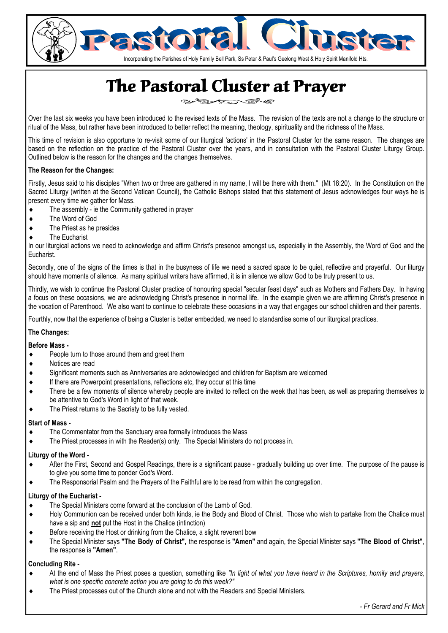

# The Pastoral Cluster at Prayer

ستكسف ឃ≂

Over the last six weeks you have been introduced to the revised texts of the Mass. The revision of the texts are not a change to the structure or ritual of the Mass, but rather have been introduced to better reflect the meaning, theology, spirituality and the richness of the Mass.

This time of revision is also opportune to re-visit some of our liturgical 'actions' in the Pastoral Cluster for the same reason. The changes are based on the reflection on the practice of the Pastoral Cluster over the years, and in consultation with the Pastoral Cluster Liturgy Group. Outlined below is the reason for the changes and the changes themselves.

#### **The Reason for the Changes:**

Firstly, Jesus said to his disciples "When two or three are gathered in my name, I will be there with them." (Mt 18:20). In the Constitution on the Sacred Liturgy (written at the Second Vatican Council), the Catholic Bishops stated that this statement of Jesus acknowledges four ways he is present every time we gather for Mass.

- ♦ The assembly ie the Community gathered in prayer
- ♦ The Word of God
- ♦ The Priest as he presides
- ♦ The Eucharist

In our liturgical actions we need to acknowledge and affirm Christ's presence amongst us, especially in the Assembly, the Word of God and the Eucharist.

Secondly, one of the signs of the times is that in the busyness of life we need a sacred space to be quiet, reflective and prayerful. Our liturgy should have moments of silence. As many spiritual writers have affirmed, it is in silence we allow God to be truly present to us.

Thirdly, we wish to continue the Pastoral Cluster practice of honouring special "secular feast days" such as Mothers and Fathers Day. In having a focus on these occasions, we are acknowledging Christ's presence in normal life. In the example given we are affirming Christ's presence in the vocation of Parenthood. We also want to continue to celebrate these occasions in a way that engages our school children and their parents.

Fourthly, now that the experience of being a Cluster is better embedded, we need to standardise some of our liturgical practices.

#### **The Changes:**

#### **Before Mass -**

- People turn to those around them and greet them
- ♦ Notices are read
- Significant moments such as Anniversaries are acknowledged and children for Baptism are welcomed
- If there are Powerpoint presentations, reflections etc, they occur at this time
- There be a few moments of silence whereby people are invited to reflect on the week that has been, as well as preparing themselves to be attentive to God's Word in light of that week.
- ♦ The Priest returns to the Sacristy to be fully vested.

#### **Start of Mass -**

- ♦ The Commentator from the Sanctuary area formally introduces the Mass
- ♦ The Priest processes in with the Reader(s) only. The Special Ministers do not process in.

#### **Liturgy of the Word -**

- ♦ After the First, Second and Gospel Readings, there is a significant pause gradually building up over time. The purpose of the pause is to give you some time to ponder God's Word.
- ♦ The Responsorial Psalm and the Prayers of the Faithful are to be read from within the congregation.

#### **Liturgy of the Eucharist -**

- The Special Ministers come forward at the conclusion of the Lamb of God.
- ♦ Holy Communion can be received under both kinds, ie the Body and Blood of Christ. Those who wish to partake from the Chalice must have a sip and **not** put the Host in the Chalice (intinction)
- ♦ Before receiving the Host or drinking from the Chalice, a slight reverent bow
- ♦ The Special Minister says **"The Body of Christ",** the response is **"Amen"** and again, the Special Minister says **"The Blood of Christ"**, the response is **"Amen"**.

#### **Concluding Rite -**

- At the end of Mass the Priest poses a question, something like "In light of what you have heard in the Scriptures, homily and prayers, *what is one specific concrete action you are going to do this week?"*
- ♦ The Priest processes out of the Church alone and not with the Readers and Special Ministers.

*- Fr Gerard and Fr Mick*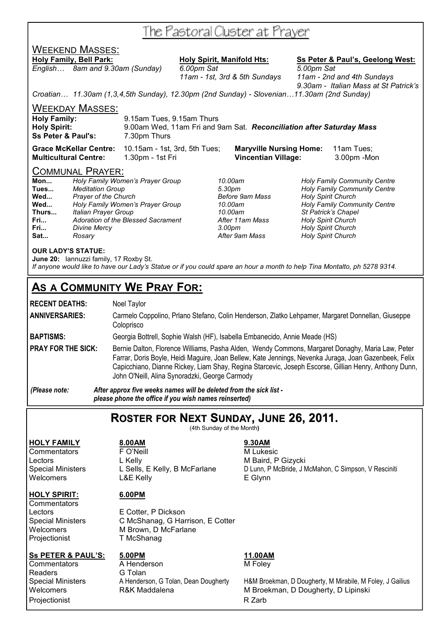# The Pastoral Cluster at Prayer

## WEEKEND MASSES:

**Holy Family, Bell Park: Holy Spirit, Manifold Hts: Ss Peter & Paul's, Geelong West:** *English… 8am and 9.30am (Sunday) 6.00pm Sat 5.00pm Sat* 

 *11am - 1st, 3rd & 5th Sundays 11am - 2nd and 4th Sundays 9.30am - Italian Mass at St Patrick's* 

*Croatian… 11.30am (1,3,4,5th Sunday), 12.30pm (2nd Sunday) - Slovenian…11.30am (2nd Sunday)* 

WEEKDAY MASSES:

| <b>Holy Family:</b>           | 9.15am Tues, 9.15am Thurs                                            |
|-------------------------------|----------------------------------------------------------------------|
| <b>Holy Spirit:</b>           | 9.00am Wed, 11am Fri and 9am Sat. Reconciliation after Saturday Mass |
| <b>Ss Peter &amp; Paul's:</b> | 7.30pm Thurs                                                         |

**Grace McKellar Centre:** 10.15am - 1st, 3rd, 5th Tues; **Maryville Nursing Home:** 11am Tues; **Multicultural Centre:** 1.30pm - 1st Fri **Vincentian Village:** 3.00pm -Mon

#### COMMUNAL PRAYER:

| Mon   | Holy Family Women's Prayer Group   |
|-------|------------------------------------|
| Tues  | <b>Meditation Group</b>            |
| Wed   | Prayer of the Church               |
| Wed   | Holy Family Women's Prayer Group   |
| Thurs | <b>Italian Prayer Group</b>        |
| Fri   | Adoration of the Blessed Sacrament |
| Fri   | <b>Divine Mercy</b>                |
| Sat   | Rosary                             |

**Fri...** *Adoration of the Blessed Sacrament After 11am Mass Holy Spirit Church*  **Fri...** *Divine Mercy 3.00pm Holy Spirit Church* 

**Mon...** *Holy Family Women's Prayer Group 10.00am Holy Family Community Centre*  **Tues...** *Meditation Group 5.30pm Holy Family Community Centre*  **Holy Spirit Church Wed...** *Holy Family Women's Prayer Group 10.00am Holy Family Community Centre*  **Thurs...** *Italian Prayer Group 10.00am St Patrick's Chapel*  **Holy Spirit Church** 

#### **OUR LADY'S STATUE:**

**June 20:** Iannuzzi family, 17 Roxby St. *If anyone would like to have our Lady's Statue or if you could spare an hour a month to help Tina Montalto, ph 5278 9314.* 

# **AS A COMMUNITY WE PRAY FOR:**

| <b>RECENT DEATHS:</b>                  | Noel Taylor                                                                                                                                                                                                                                                                                                                                                          |  |  |
|----------------------------------------|----------------------------------------------------------------------------------------------------------------------------------------------------------------------------------------------------------------------------------------------------------------------------------------------------------------------------------------------------------------------|--|--|
| <b>ANNIVERSARIES:</b>                  | Carmelo Coppolino, Prlano Stefano, Colin Henderson, Zlatko Lehpamer, Margaret Donnellan, Giuseppe<br>Coloprisco                                                                                                                                                                                                                                                      |  |  |
| <b>BAPTISMS:</b>                       | Georgia Bottrell, Sophie Walsh (HF), Isabella Embanecido, Annie Meade (HS)                                                                                                                                                                                                                                                                                           |  |  |
| <b>PRAY FOR THE SICK:</b>              | Bernie Dalton, Florence Williams, Pasha Alden, Wendy Commons, Margaret Donaghy, Maria Law, Peter<br>Farrar, Doris Boyle, Heidi Maguire, Joan Bellew, Kate Jennings, Nevenka Juraga, Joan Gazenbeek, Felix<br>Capicchiano, Dianne Rickey, Liam Shay, Regina Starcevic, Joseph Escorse, Gillian Henry, Anthony Dunn,<br>John O'Neill, Alina Synoradzki, George Carmody |  |  |
| (Please note:                          | After approx five weeks names will be deleted from the sick list -<br>please phone the office if you wish names reinserted)                                                                                                                                                                                                                                          |  |  |
| ROSTER FOR NEXT SUNDAY, JUNE 26, 2011. |                                                                                                                                                                                                                                                                                                                                                                      |  |  |

(4th Sunday of the Month**)** 

**HOLY FAMILY 8.00AM 9.30AM** Commentators **F** O'Neill **M** Lukesic Lectors Letors L Kelly Lectors Controller L Kelly<br>
Special Ministers L Sells, E Kelly, B McFarlane D Lunn, P McBride, J N Welcomers L&E Kelly **E Glynn** 

L Sells, E Kelly, B McFarlane D Lunn, P McBride, J McMahon, C Simpson, V Resciniti

**HOLY SPIRIT: 6.00PM** 

**Commentators** 

Lectors E Cotter, P Dickson Special Ministers C McShanag, G Harrison, E Cotter Welcomers M Brown, D McFarlane<br>Projectionist T McShanag T McShanag

Readers G Tolan<br>Special Ministers A Henders Projectionist **R** Zarb

**Ss PETER & PAUL'S: 5.00PM 11.00AM Commentators** A Henderson M Foley

Special Ministers A Henderson, G Tolan, Dean Dougherty H&M Broekman, D Dougherty, M Mirabile, M Foley, J Gailius<br>W Broekman, D Dougherty, D Lipinski M Broekman, D Dougherty, D Lipinski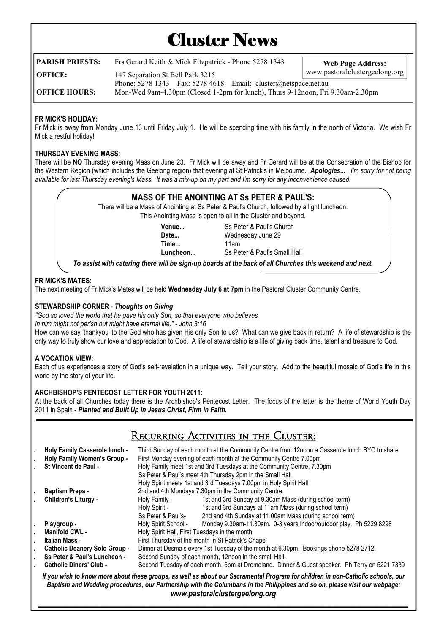# **Cluster News**

| PARISH PRIESTS:      | Frs Gerard Keith & Mick Fitzpatrick - Phone 5278 1343                          | <b>Web Page Address:</b>       |
|----------------------|--------------------------------------------------------------------------------|--------------------------------|
| OFFICE:              | 147 Separation St Bell Park 3215                                               | www.pastoralclustergeelong.org |
|                      | Phone: $5278$ 1343 Fax: $5278$ 4618 Email: cluster@netspace.net.au             |                                |
| <b>OFFICE HOURS:</b> | Mon-Wed 9am-4.30pm (Closed 1-2pm for lunch), Thurs 9-12noon, Fri 9.30am-2.30pm |                                |

#### **FR MICK'S HOLIDAY:**

Fr Mick is away from Monday June 13 until Friday July 1. He will be spending time with his family in the north of Victoria. We wish Fr Mick a restful holiday!

#### **THURSDAY EVENING MASS:**

There will be **NO** Thursday evening Mass on June 23. Fr Mick will be away and Fr Gerard will be at the Consecration of the Bishop for the Western Region (which includes the Geelong region) that evening at St Patrick's in Melbourne. *Apologies... I'm sorry for not being available for last Thursday evening's Mass. It was a mix-up on my part and I'm sorry for any inconvenience caused.* 

### **MASS OF THE ANOINTING AT Ss PETER & PAUL'S:**

There will be a Mass of Anointing at Ss Peter & Paul's Church, followed by a light luncheon. This Anointing Mass is open to all in the Cluster and beyond.

 **Time...** 11am

 **Venue...** Ss Peter & Paul's Church  **Date...** Wednesday June 29 **Luncheon...** Ss Peter & Paul's Small Hall

*To assist with catering there will be sign-up boards at the back of all Churches this weekend and next.* 

#### **FR MICK'S MATES:**

The next meeting of Fr Mick's Mates will be held **Wednesday July 6 at 7pm** in the Pastoral Cluster Community Centre.

#### **STEWARDSHIP CORNER** - *Thoughts on Giving*

*"God so loved the world that he gave his only Son, so that everyone who believes in him might not perish but might have eternal life." - John 3:16* 

How can we say 'thankyou' to the God who has given His only Son to us? What can we give back in return? A life of stewardship is the only way to truly show our love and appreciation to God. A life of stewardship is a life of giving back time, talent and treasure to God.

#### **A VOCATION VIEW:**

Each of us experiences a story of God's self-revelation in a unique way. Tell your story. Add to the beautiful mosaic of God's life in this world by the story of your life.

#### **ARCHBISHOP'S PENTECOST LETTER FOR YOUTH 2011:**

At the back of all Churches today there is the Archbishop's Pentecost Letter. The focus of the letter is the theme of World Youth Day 2011 in Spain - *Planted and Built Up in Jesus Christ, Firm in Faith***.** 

| RECURRING ACTIVITIES IN THE CLUSTER. |
|--------------------------------------|
|--------------------------------------|

|                                                                                                                                                                                                                                                                                                 | <b>Holy Family Casserole lunch -</b> |                                                                                               | Third Sunday of each month at the Community Centre from 12noon a Casserole lunch BYO to share |  |  |
|-------------------------------------------------------------------------------------------------------------------------------------------------------------------------------------------------------------------------------------------------------------------------------------------------|--------------------------------------|-----------------------------------------------------------------------------------------------|-----------------------------------------------------------------------------------------------|--|--|
|                                                                                                                                                                                                                                                                                                 | <b>Holy Family Women's Group -</b>   | First Monday evening of each month at the Community Centre 7.00pm                             |                                                                                               |  |  |
|                                                                                                                                                                                                                                                                                                 | St Vincent de Paul -                 | Holy Family meet 1st and 3rd Tuesdays at the Community Centre, 7.30pm                         |                                                                                               |  |  |
|                                                                                                                                                                                                                                                                                                 |                                      |                                                                                               | Ss Peter & Paul's meet 4th Thursday 2pm in the Small Hall                                     |  |  |
|                                                                                                                                                                                                                                                                                                 |                                      | Holy Spirit meets 1st and 3rd Tuesdays 7.00pm in Holy Spirit Hall                             |                                                                                               |  |  |
|                                                                                                                                                                                                                                                                                                 | <b>Baptism Preps -</b>               | 2nd and 4th Mondays 7.30pm in the Community Centre                                            |                                                                                               |  |  |
|                                                                                                                                                                                                                                                                                                 | Children's Liturgy -                 | Holy Family -                                                                                 | 1st and 3rd Sunday at 9.30am Mass (during school term)                                        |  |  |
|                                                                                                                                                                                                                                                                                                 |                                      | Holy Spirit -                                                                                 | 1st and 3rd Sundays at 11am Mass (during school term)                                         |  |  |
|                                                                                                                                                                                                                                                                                                 |                                      | Ss Peter & Paul's-                                                                            | 2nd and 4th Sunday at 11.00am Mass (during school term)                                       |  |  |
|                                                                                                                                                                                                                                                                                                 | Playgroup -                          | Holy Spirit School -                                                                          | Monday 9.30am-11.30am. 0-3 years Indoor/outdoor play. Ph 5229 8298                            |  |  |
|                                                                                                                                                                                                                                                                                                 | <b>Manifold CWL -</b>                | Holy Spirit Hall, First Tuesdays in the month                                                 |                                                                                               |  |  |
|                                                                                                                                                                                                                                                                                                 | Italian Mass -                       | First Thursday of the month in St Patrick's Chapel                                            |                                                                                               |  |  |
|                                                                                                                                                                                                                                                                                                 | <b>Catholic Deanery Solo Group -</b> | Dinner at Desma's every 1st Tuesday of the month at 6.30pm. Bookings phone 5278 2712.         |                                                                                               |  |  |
|                                                                                                                                                                                                                                                                                                 | Ss Peter & Paul's Luncheon -         | Second Sunday of each month, 12noon in the small Hall.                                        |                                                                                               |  |  |
|                                                                                                                                                                                                                                                                                                 | <b>Catholic Diners' Club -</b>       | Second Tuesday of each month, 6pm at Dromoland. Dinner & Guest speaker. Ph Terry on 5221 7339 |                                                                                               |  |  |
| If you wish to know more about these groups, as well as about our Sacramental Program for children in non-Catholic schools, our<br>Baptism and Wedding procedures, our Partnership with the Columbans in the Philippines and so on, please visit our webpage:<br>www.pastoralclustergeelong.org |                                      |                                                                                               |                                                                                               |  |  |

*\_\_\_\_\_\_\_\_\_\_\_\_\_\_\_\_\_\_\_\_\_\_\_\_\_\_\_\_\_\_\_\_\_\_\_\_\_\_\_\_\_\_\_\_\_\_\_\_\_\_\_\_\_\_\_\_\_\_\_\_\_\_\_\_\_\_\_\_\_\_\_\_\_\_\_\_\_\_\_\_\_\_\_\_\_\_\_\_\_\_\_\_\_\_\_\_\_\_*